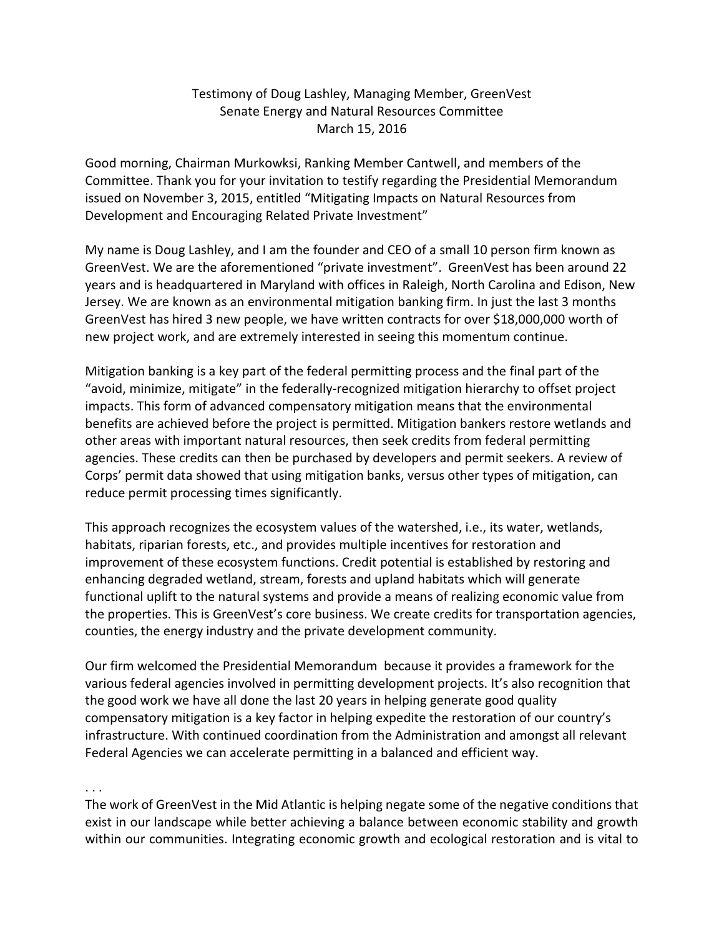## Testimony of Doug Lashley, Managing Member, GreenVest Senate Energy and Natural Resources Committee March 15, 2016

Good morning, Chairman Murkowksi, Ranking Member Cantwell, and members of the Committee. Thank you for your invitation to testify regarding the Presidential Memorandum issued on November 3, 2015, entitled "Mitigating Impacts on Natural Resources from Development and Encouraging Related Private Investment"

My name is Doug Lashley, and I am the founder and CEO of a small 10 person firm known as GreenVest. We are the aforementioned "private investment". GreenVest has been around 22 years and is headquartered in Maryland with offices in Raleigh, North Carolina and Edison, New Jersey. We are known as an environmental mitigation banking firm. In just the last 3 months GreenVest has hired 3 new people, we have written contracts for over \$18,000,000 worth of new project work, and are extremely interested in seeing this momentum continue.

Mitigation banking is a key part of the federal permitting process and the final part of the "avoid, minimize, mitigate" in the federally-recognized mitigation hierarchy to offset project impacts. This form of advanced compensatory mitigation means that the environmental benefits are achieved before the project is permitted. Mitigation bankers restore wetlands and other areas with important natural resources, then seek credits from federal permitting agencies. These credits can then be purchased by developers and permit seekers. A review of Corps' permit data showed that using mitigation banks, versus other types of mitigation, can reduce permit processing times significantly.

This approach recognizes the ecosystem values of the watershed, i.e., its water, wetlands, habitats, riparian forests, etc., and provides multiple incentives for restoration and improvement of these ecosystem functions. Credit potential is established by restoring and enhancing degraded wetland, stream, forests and upland habitats which will generate functional uplift to the natural systems and provide a means of realizing economic value from the properties. This is GreenVest's core business. We create credits for transportation agencies, counties, the energy industry and the private development community.

Our firm welcomed the Presidential Memorandum because it provides a framework for the various federal agencies involved in permitting development projects. It's also recognition that the good work we have all done the last 20 years in helping generate good quality compensatory mitigation is a key factor in helping expedite the restoration of our country's infrastructure. With continued coordination from the Administration and amongst all relevant Federal Agencies we can accelerate permitting in a balanced and efficient way.

. . .

The work of GreenVest in the Mid Atlantic is helping negate some of the negative conditions that exist in our landscape while better achieving a balance between economic stability and growth within our communities. Integrating economic growth and ecological restoration and is vital to